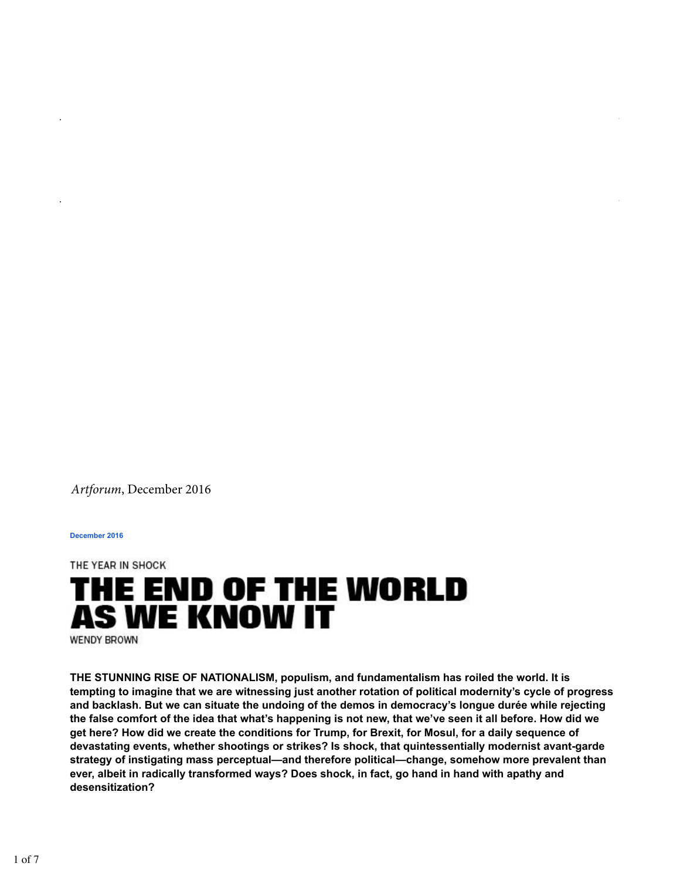*Artforum*, December 2016

**December 2016**

THE YEAR IN SHOCK

## THE END OF THE WORLD **AS WE KNOW IT**

**WENDY BROWN** 

**THE STUNNING RISE OF NATIONALISM, populism, and fundamentalism has roiled the world. It is tempting to imagine that we are witnessing just another rotation of political modernity's cycle of progress and backlash. But we can situate the undoing of the demos in democracy's longue durée while rejecting the false comfort of the idea that what's happening is not new, that we've seen it all before. How did we get here? How did we create the conditions for Trump, for Brexit, for Mosul, for a daily sequence of devastating events, whether shootings or strikes? Is shock, that quintessentially modernist avant-garde strategy of instigating mass perceptual—and therefore political—change, somehow more prevalent than ever, albeit in radically transformed ways? Does shock, in fact, go hand in hand with apathy and desensitization?**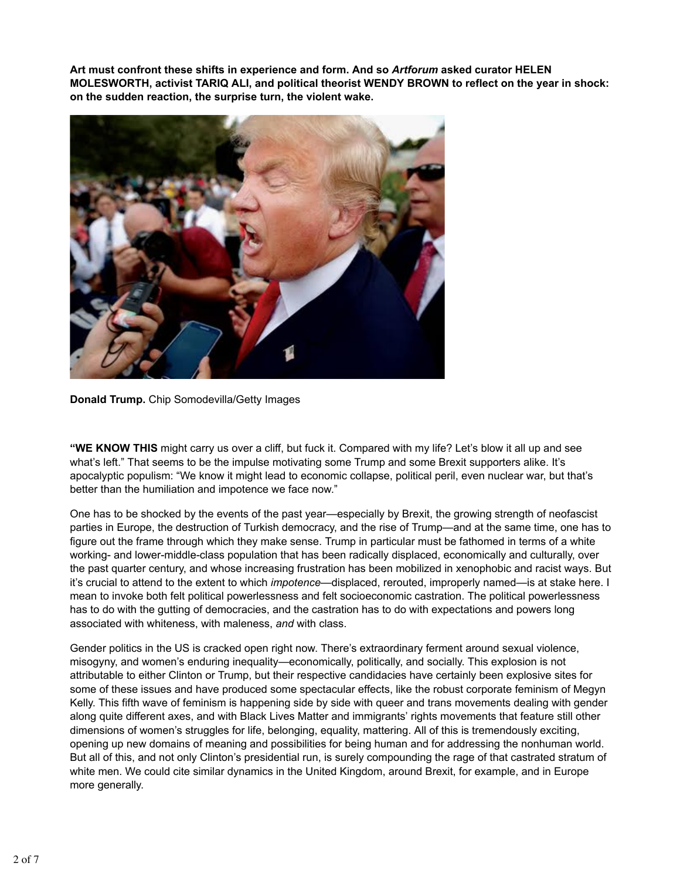**Art must confront these shifts in experience and form. And so** *Artforum* **asked curator HELEN MOLESWORTH, activist TARIQ ALI, and political theorist WENDY BROWN to reflect on the year in shock: on the sudden reaction, the surprise turn, the violent wake.**



**Donald Trump.** Chip Somodevilla/Getty Images

**"WE KNOW THIS** might carry us over a cliff, but fuck it. Compared with my life? Let's blow it all up and see what's left." That seems to be the impulse motivating some Trump and some Brexit supporters alike. It's apocalyptic populism: "We know it might lead to economic collapse, political peril, even nuclear war, but that's better than the humiliation and impotence we face now."

One has to be shocked by the events of the past year—especially by Brexit, the growing strength of neofascist parties in Europe, the destruction of Turkish democracy, and the rise of Trump—and at the same time, one has to figure out the frame through which they make sense. Trump in particular must be fathomed in terms of a white working- and lower-middle-class population that has been radically displaced, economically and culturally, over the past quarter century, and whose increasing frustration has been mobilized in xenophobic and racist ways. But it's crucial to attend to the extent to which *impotence*—displaced, rerouted, improperly named—is at stake here. I mean to invoke both felt political powerlessness and felt socioeconomic castration. The political powerlessness has to do with the gutting of democracies, and the castration has to do with expectations and powers long associated with whiteness, with maleness, *and* with class.

Gender politics in the US is cracked open right now. There's extraordinary ferment around sexual violence, misogyny, and women's enduring inequality—economically, politically, and socially. This explosion is not attributable to either Clinton or Trump, but their respective candidacies have certainly been explosive sites for some of these issues and have produced some spectacular effects, like the robust corporate feminism of Megyn Kelly. This fifth wave of feminism is happening side by side with queer and trans movements dealing with gender along quite different axes, and with Black Lives Matter and immigrants' rights movements that feature still other dimensions of women's struggles for life, belonging, equality, mattering. All of this is tremendously exciting, opening up new domains of meaning and possibilities for being human and for addressing the nonhuman world. But all of this, and not only Clinton's presidential run, is surely compounding the rage of that castrated stratum of white men. We could cite similar dynamics in the United Kingdom, around Brexit, for example, and in Europe more generally.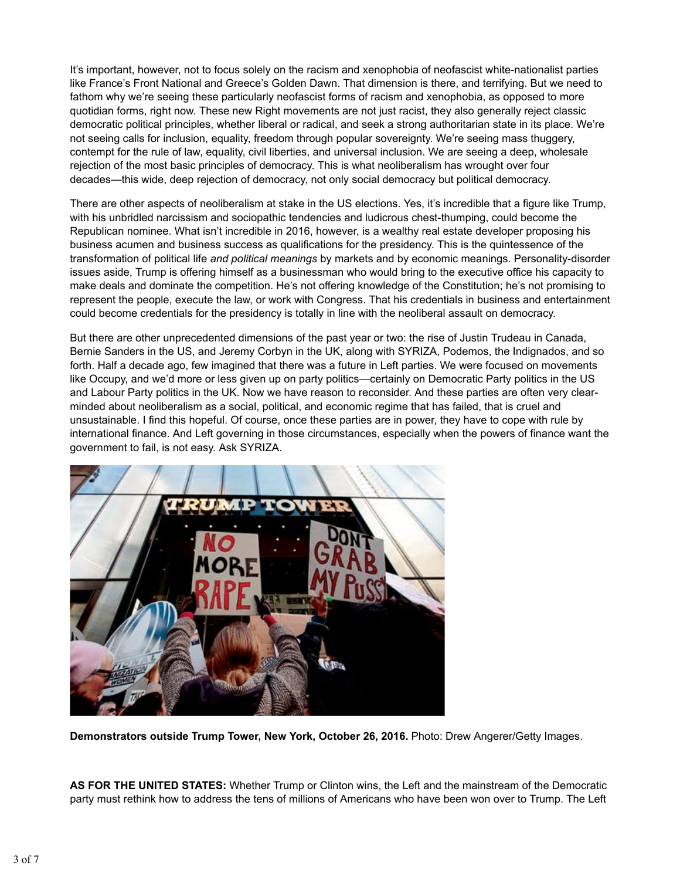It's important, however, not to focus solely on the racism and xenophobia of neofascist white-nationalist parties like France's Front National and Greece's Golden Dawn. That dimension is there, and terrifying. But we need to fathom why we're seeing these particularly neofascist forms of racism and xenophobia, as opposed to more quotidian forms, right now. These new Right movements are not just racist, they also generally reject classic democratic political principles, whether liberal or radical, and seek a strong authoritarian state in its place. We're not seeing calls for inclusion, equality, freedom through popular sovereignty. We're seeing mass thuggery, contempt for the rule of law, equality, civil liberties, and universal inclusion. We are seeing a deep, wholesale rejection of the most basic principles of democracy. This is what neoliberalism has wrought over four decades—this wide, deep rejection of democracy, not only social democracy but political democracy.

There are other aspects of neoliberalism at stake in the US elections. Yes, it's incredible that a figure like Trump, with his unbridled narcissism and sociopathic tendencies and ludicrous chest-thumping, could become the Republican nominee. What isn't incredible in 2016, however, is a wealthy real estate developer proposing his business acumen and business success as qualifications for the presidency. This is the quintessence of the transformation of political life *and political meanings* by markets and by economic meanings. Personality-disorder issues aside, Trump is offering himself as a businessman who would bring to the executive office his capacity to make deals and dominate the competition. He's not offering knowledge of the Constitution; he's not promising to represent the people, execute the law, or work with Congress. That his credentials in business and entertainment could become credentials for the presidency is totally in line with the neoliberal assault on democracy.

But there are other unprecedented dimensions of the past year or two: the rise of Justin Trudeau in Canada, Bernie Sanders in the US, and Jeremy Corbyn in the UK, along with SYRIZA, Podemos, the Indignados, and so forth. Half a decade ago, few imagined that there was a future in Left parties. We were focused on movements like Occupy, and we'd more or less given up on party politics—certainly on Democratic Party politics in the US and Labour Party politics in the UK. Now we have reason to reconsider. And these parties are often very clearminded about neoliberalism as a social, political, and economic regime that has failed, that is cruel and unsustainable. I find this hopeful. Of course, once these parties are in power, they have to cope with rule by international finance. And Left governing in those circumstances, especially when the powers of finance want the government to fail, is not easy. Ask SYRIZA.



**Demonstrators outside Trump Tower, New York, October 26, 2016.** Photo: Drew Angerer/Getty Images.

**AS FOR THE UNITED STATES:** Whether Trump or Clinton wins, the Left and the mainstream of the Democratic party must rethink how to address the tens of millions of Americans who have been won over to Trump. The Left